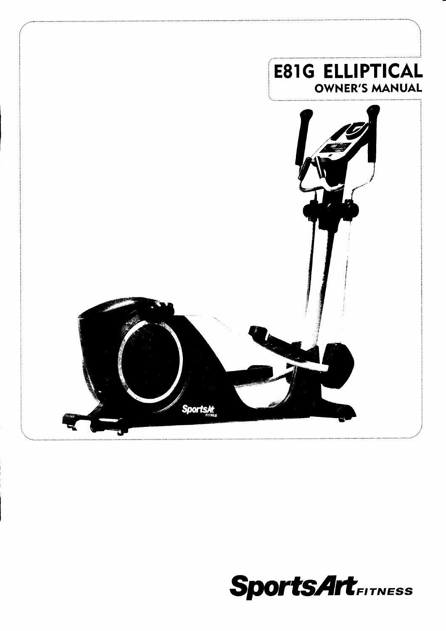

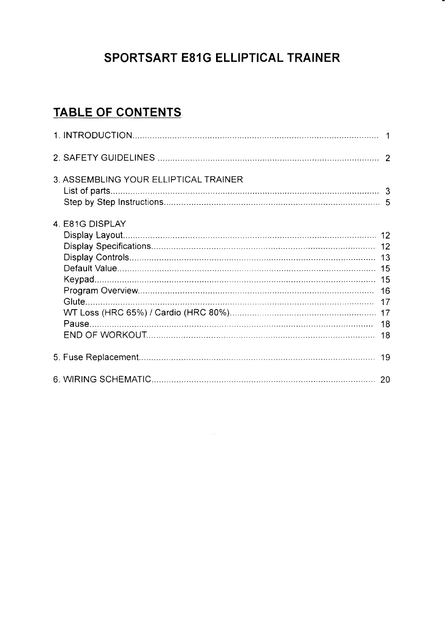# SPORTSART E81G ELLIPTICAL TRAINER

# TABLE OF CONTENTS

| 3. ASSEMBLING YOUR ELLIPTICAL TRAINER |  |
|---------------------------------------|--|
| 4. E81G DISPLAY                       |  |
|                                       |  |
|                                       |  |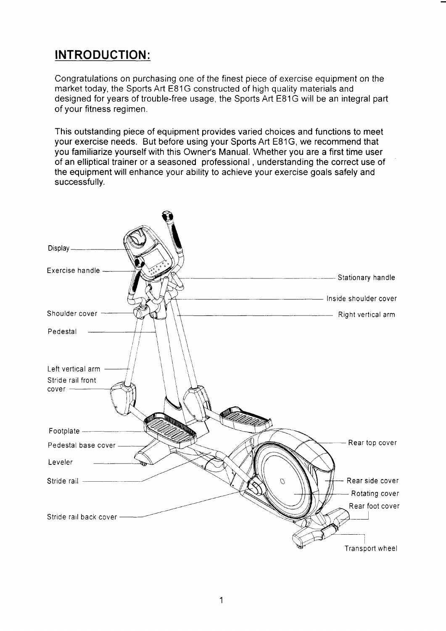# INTRODUCTION:

Congratulations on purchasing one of the finest piece of exercise equipment on the market today, the Sports Art E81G constructed of high quality materials and designed foryears of trouble-free usage, the SportsArt E81G will be an integral part of your fitness regimen.

This outstanding piece of equipment provides varied choices and functions to meet your exercise needs. But before using your Spofts Art E81G, we recommend that you familiarize yourself with this Owner's Manual. Whether you are a first time user of an elliptical trainer or a seasoned professional , understanding the correct use of the equipment will enhance your ability to achieve your exercise goals safely and successfully.

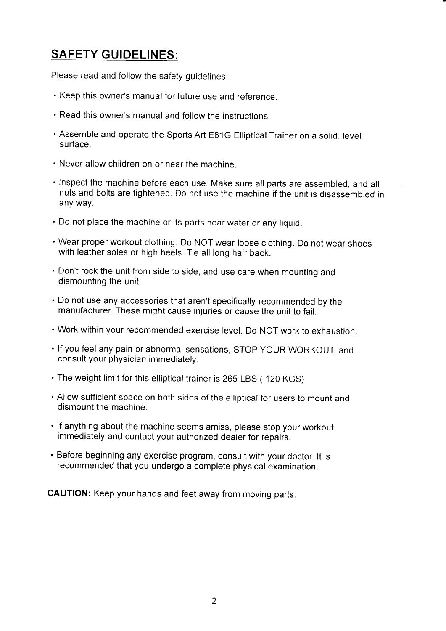# SAFETY GUIDELINES:

Please read and follow the safety guidelines:

- . Keep this owner's manual for future use and reference.
- . Read this owner's manual and follow the instructions.
- ' Assemble and operate the Sports Art E81G Elliptical Trainer on a solid, level surface.
- . Never allow children on or near the machine.
- ' Inspect the machine before each use. Make sure all parts are assembled, and all nuts and bolts are tightened. Do not use the machine if the unit is disassembled in any way.
- . Do not place the machine or its parts near water or any liquid.
- ' Wear proper workout clothing. Do NOT wear loose clothing. Do not wear shoes with leather soles or high heels. Tie all long hair back.
- ' Don't rock the unit from side to side, and use care when mounting and dismounting the unit
- ' Do not use any accessories that aren't specifically recommended by the manufacturer. These might cause injuries or cause the unit to fail.
- ' Work within your recommended exercise level. Do NOT work to exhaustion.
- ' lf you feel any pain or abnormal sensations, sroP YouR woRKour, and consult your physician immediately.
- . The weight limit for this elliptical trainer is 265 LBS ( 120 KGS)
- ' Allow sufficient space on both sides of the elliptical for users to mount and dismount the machine.
- ' lf anything about the machine seems amiss, please stop your workout immediately and contact your authorized dealer for repairs.
- ' Before beginning any exercise program, consult with your doctor. lt is recommended that you undergo a complete physical examination.

CAUTION: Keep your hands and feet away from moving parts.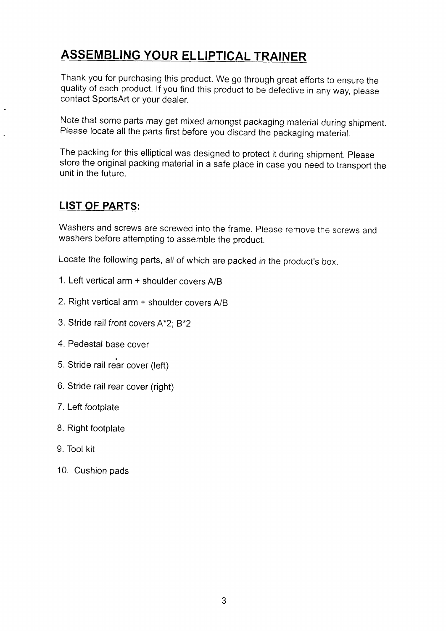# ASSEMBLING YOUR ELLIPTICAL TRAINER

Thank you for purchasing this product. We go through great efforts to ensure the quality of each product. If you find this product to be defective in any way, please contact SportsArt or your dealer.

Note that some parts may get mixed amongst packaging material during shipment. Please locate all the parts first before you discard the packaging material.

The packing for this elliptical was designed to protect it during shipment. please store the original packing material in a safe place in case you need to transport the unit in the future.

### LIST OF PARTS:

Washers and screws are screwed into the frame. Please remove the screws and washers before attempting to assemble the product.

Locate the following parts, all of which are packed in the product's box.

- 1. Left vertical arm  $+$  shoulder covers  $A/B$
- 2. Right vertical arm + shoulder covers A/B
- 3. Stride rail front covers A\*2; B\*2
- 4. Pedestal base cover
- 5. Stride rail rear cover (left)
- 6. Stride rail rear cover (right)
- 7. Left footplate
- B. Right footplate
- 9. Tool kit
- 10. Cushion pads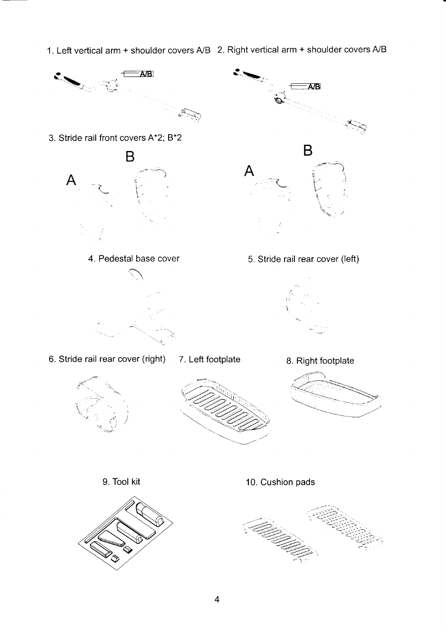1. Left vertical arm + shoulder covers  $A/B$  2. Right vertical arm + shoulder covers  $A/B$ 

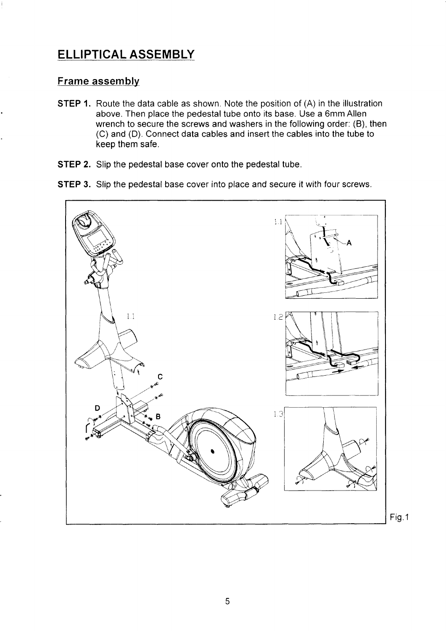## ELLIPTICAL ASSEMBLY

#### Frame assembly

- STEP 1. Route the data cable as shown. Note the position of (A) in the illustration above. Then place the pedestal tube onto its base. Use a 6mm Allen wrench to secure the screws and washers in the following order: (B), then (C) and (D). Connect data cables and insert the cables into the tube to keep them safe.
- STEP 2. Slip the pedestal base cover onto the pedestal tube.
- STEP 3. Slip the pedestal base cover into place and secure it with four screws.

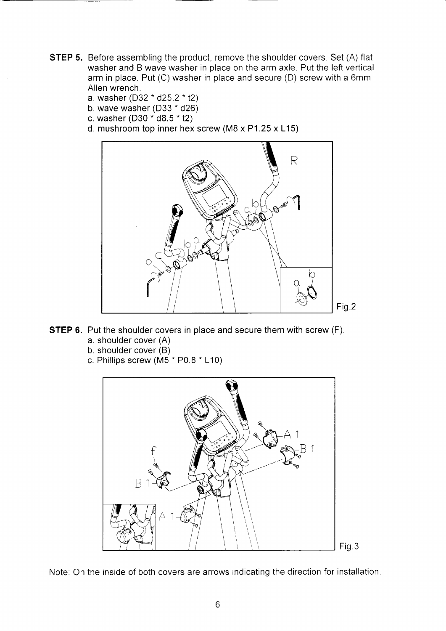- **STEP 5.** Before assembling the product, remove the shoulder covers. Set (A) flat washer and B wave washer in place on the arm axle. Put the left vertical arm in place. Put (C) washer in place and secure (D) screw with a 6mm Allen wrench.
	- a. washer (D32  $*$  d25.2  $*$  t2)
	- b. wave washer  $(D33 * d26)$
	- c. washer (D30  $*$  d8.5  $*$  t2)
	- d. mushroom top inner hex screw (M8 x P1.25 x L15)



- **STEP 6.** Put the shoulder covers in place and secure them with screw (F).
	- a. shoulder cover (A)
	- b. shoulder cover (B)
	- c. Phillips screw ( $\overline{M5}$  \* P0.8  $\overline{^*}$  L10)



Note: On the inside of both covers are arrows indicating the direction for installation.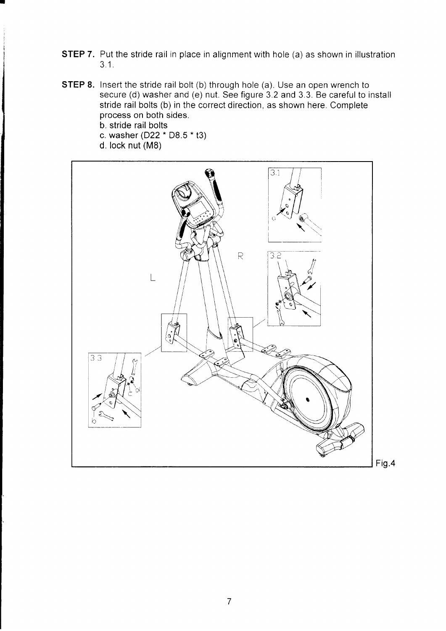- **STEP 7.** Put the stride rail in place in alignment with hole (a) as shown in illustration  $3.1.$
- STEP 8. Insert the stride rail bolt (b) through hole (a). Use an open wrench to secure (d) washer and (e) nut. See figure 3.2 and 3.3. Be careful to install stride rail bolts (b) in the correct direction, as shown here. Complete process on both sides.

b. stride rail bolts

- c. washer  $(D22 * D8.5 * t3)$
- d. lock nut (MB)

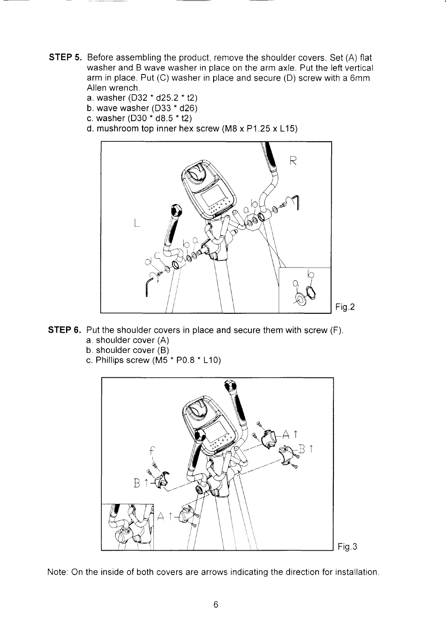- STEP 5. Before assembling the product, remove the shoulder covers. Set (A) flat washer and B wave washer in place on the arm axle. Put the left vertical arm in place. Put (C) washer in place and secure (D) screw with a 6mm Allen wrench.
	- a. washer (D32  $*$  d25.2  $*$  t2)
	- b. wave washer  $(D33 * d26)$
	- c. washer  $(D30 * d8.5 * t2)$
	- d. mushroom top inner hex screw (M8 x P1 .25 x L15)



- **STEP 6.** Put the shoulder covers in place and secure them with screw (F). a. shoulder cover (A)
	- b. shoulder cover (B)
	- c. Phillips screw ( $\overline{M5}$  \* P0.8  $\overline{^*}$  L10)



Note: On the inside of both covers are arrows indicatinq the direction for installation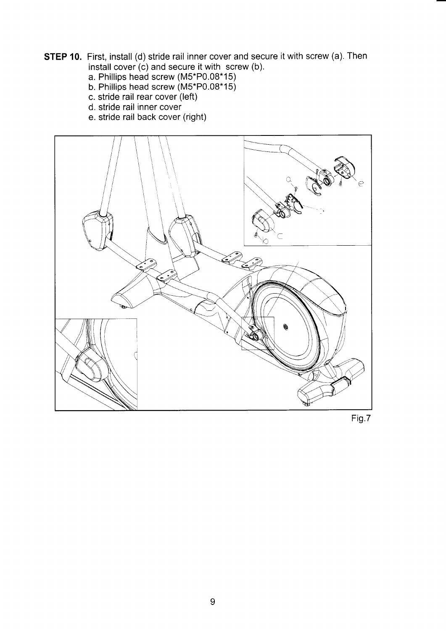- **STEP 10.** First, install (d) stride rail inner cover and secure it with screw (a). Then install cover  $(c)$  and secure it with screw (b).
	- a. Phillips head screw (M5\*P0.08\*15)
	- b. Phillips head screw (M5\*P0.08\*15)
	- c. stride rail rear cover (left)
	- d. stride rail inner cover
	- e. stride rail back cover (right)



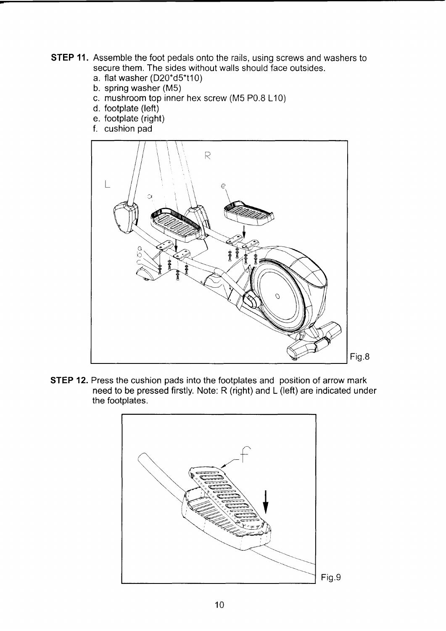- **STEP 11.** Assemble the foot pedals onto the rails, using screws and washers to secure them. The sides without walls should face outsides.
	- a. flat washer  $(D20*d5*110)$
	- b. spring washer (M5)
	- c. mushroom top inner hex screw (M5 P0.8 L10)
	- d. footplate (left)
	- e. footplate (right)
	- f. cushion pad



STEP 12. Press the cushion pads into the footplates and position of arrow mark need to be pressed firstly. Note: R (right) and L (left) are indicated under the footplates.

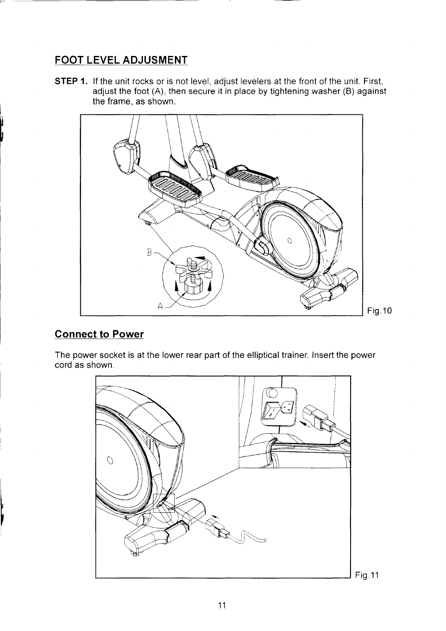## FOOT LEVEL ADJUSMENT

STEP 1. If the unit rocks or is not level, adjust levelers at the front of the unit. First, adjust the foot  $(A)$ , then secure it in place by tightening washer  $(B)$  against the frame, as shown.



### Connect to Power

The power socket is at the lower rear part of the elliptical trainer. Insert the power cord as shown.

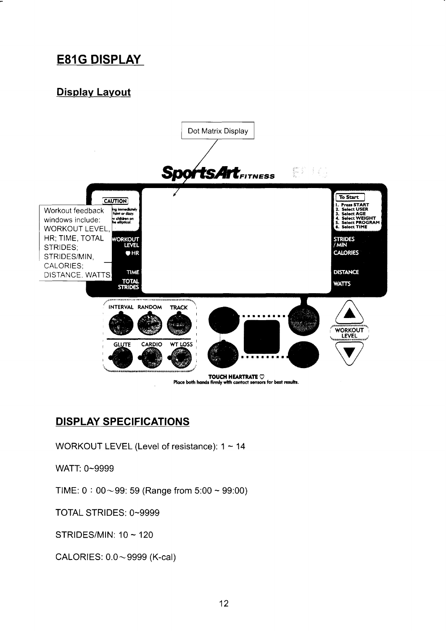# **E81G DISPLAY**

## Display Layout



### **DISPLAY SPECIFICATIONS**

WORKOUT LEVEL (Level of resistance): 1 ~ 14

WATT: 0~9999

TIME:  $0:00~99$ : 59 (Range from 5:00 ~ 99:00)

TOTAL STRIDES: 0~9999

STRIDES/MIN: 10 ~ 120

CALORIES: 0.0~9999 (K-cal)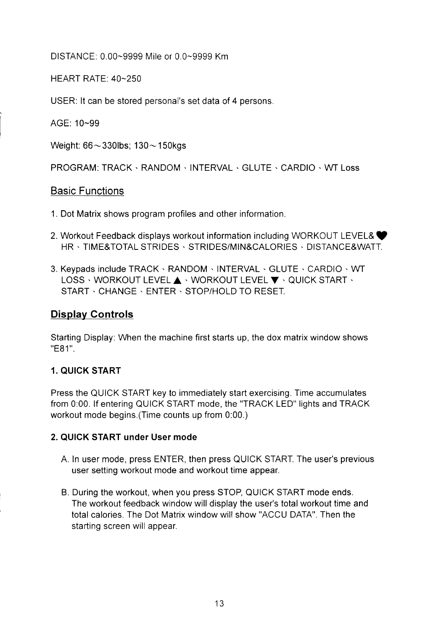DISTANCE: 0.00-9999 Mile or 0.0-9999 Km

HEART RATE: 40-250

USER: lt can be stored personal's set data of 4 persons.

AGE: 10-99

Weight:  $66 \sim 330$ lbs;  $130 \sim 150$ kgs

PROGRAM: TRACK · RANDOM · INTERVAL · GLUTE · CARDIO · WT Loss

#### Basic Functions

- 1. Dot Matrix shows program profiles and other information.
- 2. Workout Feedback displays workout information including WORKOUT LEVEL& HR . TIME&TOTAL STRIDES . STRIDES/MIN&CALORIES . DISTANCE&WATT.
- 3. Keypads include TRACK . RANDOM . INTERVAL . GLUTE . CARDIO . WT LOSS · WORKOUT LEVEL A · WORKOUT LEVEL  $\blacktriangledown$  · QUICK START · START . CHANGE . ENTER . STOP/HOLD TO RESET.

### Display Controls

Starting Display: When the machine first starts up, the dox matrix window shows "E81".

#### 1. QUICK START

Press the QUICK START key to immediately start exercising. Time accumulates from 0:00. lf entering QUICK START mode, the "TRACK LED" lights and TRACK workout mode begins.(Time counts up from 0:00.)

#### 2. QUICK START under User mode

- A. In user mode, press ENTER, then press QUICK START. The user's previous user setting workout mode and workout time appear.
- B. During the workout, when you press STOP, QUICK START mode ends. The workout feedback window will display the user's total workout time and total calories. The Dot Matrix window will show "ACCU DATA". Then the starting screen will appear.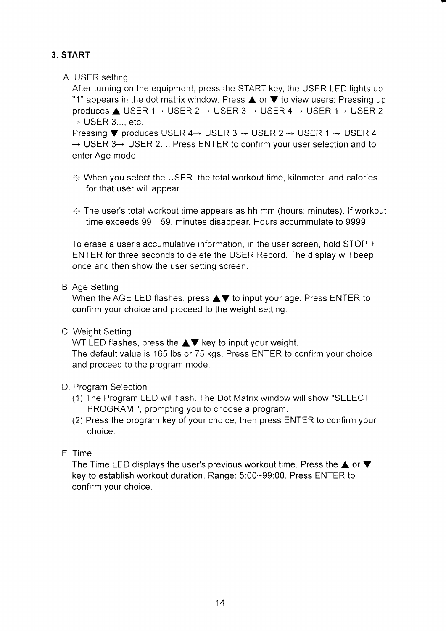### 3. START

#### A. USER setting

After turning on the equipment, press the START key, the USER LED lights up "1" appears in the dot matrix window. Press  $\triangle$  or  $\nabla$  to view users: Pressing up produces  $\triangle$  USER 1 $\rightarrow$  USER 2  $\rightarrow$  USER 3  $\rightarrow$  USER 4  $\rightarrow$  USER 1 $\rightarrow$  USER 2  $\rightarrow$  USER 3..., etc.

Pressing  $\nabla$  produces USER 4  $\rightarrow$  USER 3  $\rightarrow$  USER 2  $\rightarrow$  USER 1  $\rightarrow$  USER 4  $\rightarrow$  USER 3 $\rightarrow$  USER 2.... Press ENTER to confirm your user selection and to enter Age mode.

- $\cdot$  When you select the USER, the total workout time, kilometer, and calories for that user will appear.
- $\therefore$  The user's total workout time appears as hh:mm (hours: minutes). If workout time exceeds 99 : 59, minutes disappear. Hours accummulate to 9999.

To erase a user's accumulative information, in the user screen, hold STOP + ENTER for three seconds to delete the USER Record. The display will beep once and then show the user setting screen.

#### B. Age Setting

When the AGE LED flashes, press  $\blacktriangle \blacktriangledown$  to input your age. Press ENTER to confirm your choice and proceed to the weight setting.

C. Weight Setting

WT LED flashes, press the  $\triangle \blacktriangledown$  key to input your weight. The default value is 165 lbs or 75 kgs. Press ENTER to confirm your choice and proceed to the program mode.

#### D, Program Selection

- (1) The Program LED will flash. The Dot Matrix window will show "SELECT PROGRAM ", prompting you to choose a program.
- (2) Press the program key of your choice, then press ENTER to confirm your choice.

#### E. Time

The Time LED displays the user's previous workout time. Press the  $\blacktriangle$  or  $\nabla$ key to establish workout duration. Range. 5:00-99:00. Press ENTER to confirm your choice.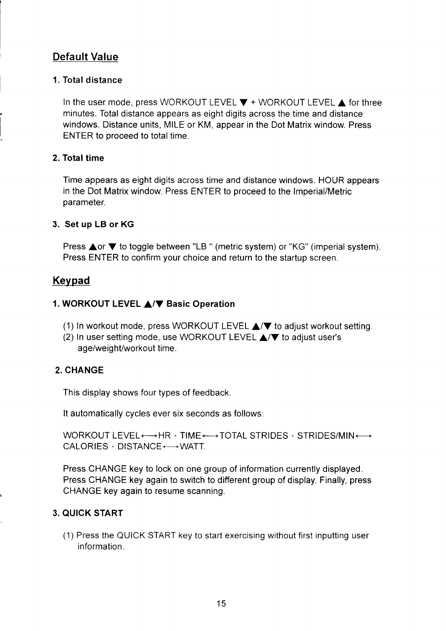### Default Value

#### 1. Total distance

In the user mode, press WORKOUT LEVEL  $\Psi$  + WORKOUT LEVEL  $\blacktriangle$  for three minutes. Total distance appears as eight digits across the time and distance windows. Distance units, MILE or KM, appear in the Dot Matrix window. Press ENTER to proceed to total time.

#### 2. Total time

Time appears as eight digits across time and distance windows. HOUR appears in the Dot Matrix window. Press ENTER to proceed to the lmperial/Metric parameter.

#### 3. Set up LB or KG

Press **△or ▼** to toggle between "LB " (metric system) or "KG" (imperial system). Press ENTER to confirm your choice and return to the startup screen.

### Keypad

#### 1. WORKOUT LEVEL **A/V** Basic Operation

- (1) In workout mode, press WORKOUT LEVEL  $\triangle$ / $\blacktriangledown$  to adjust workout setting.
- (2) In user setting mode, use WORKOUT LEVEL  $\triangle$ / $\nabla$  to adjust user's age/weight/workout time.

#### 2. CHANGE

This display shows four types of feedback.

It automatically cycles ever six seconds as follows:

WORKOUT LEVEL $\longleftrightarrow$ HR  $\cdot$  TIME $\longleftrightarrow$ TOTAL STRIDES  $\cdot$  STRIDES/MIN $\longleftrightarrow$  $CALORIES \cdot DISTANCE \longleftrightarrow WATT$ .

Press CHANGE key to lock on one group of information currently displayed. Press CHANGE key again to switch to different group of display. Finally, press CHANGE key again to resume scanning.

#### 3. QUICK START

(1) Press the QUICK START key to start exercising without first inputting user information.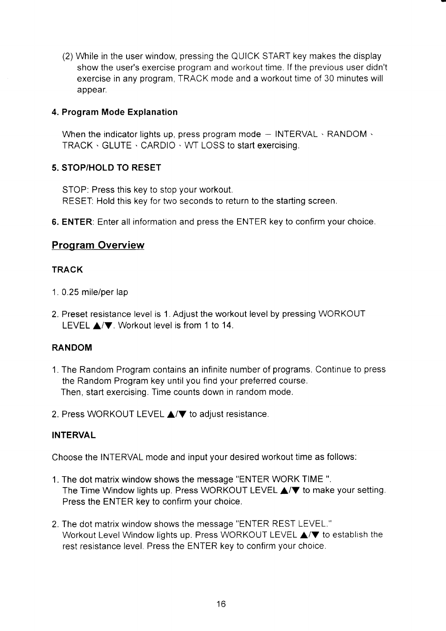(2) While in the user window, pressing the QUICK START key makes the display show the user's exercise program and workout time. If the previous user didn't exercise in any program, TRACK mode and a workout time of 30 minutes will appear.

#### 4. Program Mode Explanation

When the indicator lights up, press program mode  $-$  INTERVAL  $\cdot$  RANDOM  $\cdot$ TRACK . GLUTE . CARDIO . WT LOSS to start exercising.

#### 5. STOP/HOLD TO RESET

STOP: Press this key to stop your workout. RESET: Hold this key for two seconds to return to the starting screen.

6. ENTER: Enter all information and press the ENTER key to confirm your choice.

#### Program Overview

#### **TRACK**

- 1. 0.25 mile/per lap
- 2. Preset resistance level is 1. Adjust the workout level by pressing WORKOUT LEVEL  $\triangle$ / $\blacktriangledown$ . Workout level is from 1 to 14.

#### RANDOM

- 1. The Random Program contains an infinite number of programs. Continue to press the Random Program key until you find your preferred course. Then, start exercising. Time counts down in random mode.
- 2. Press WORKOUT LEVEL  $\triangle/\blacktriangledown$  to adjust resistance.

#### INTERVAL

Choose the INTERVAL mode and input your desired workout time as follows:

- 1. The dot matrix window shows the message "ENTER WORK TIME ". The Time Window lights up. Press WORKOUT LEVEL  $\triangle$ / $\blacktriangledown$  to make your setting. Press the ENTER kev to confirm vour choice.
- 2. The dot matrix window shows the message "ENTER REST LEVEL." Workout Level Window lights up. Press WORKOUT LEVEL  $\triangle$ / $\blacktriangledown$  to establish the rest resistance level. Press the ENTER kev to confirm vour choice.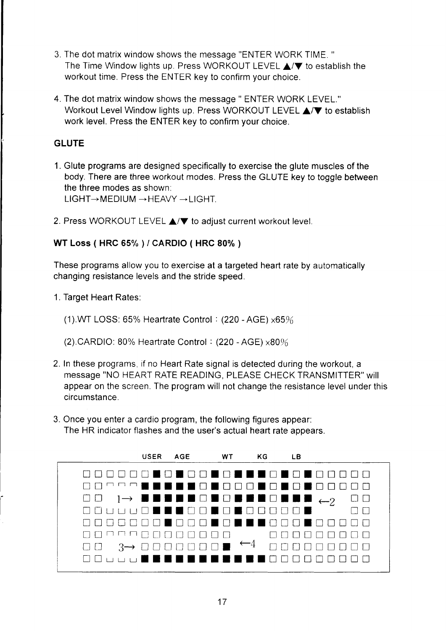- 3. The dot matrix window shows the message "ENTER WORK TIME. " The Time Window lights up. Press WORKOUT LEVEL  $\triangle/\blacktriangledown$  to establish the workout time. Press the ENTER key to confirm your choice.
- 4. The dot matrix window shows the message " ENTER WORK LEVEL." Workout Level Window lights up. Press WORKOUT LEVEL  $\triangle$ / $\blacktriangledown$  to establish work level. Press the ENTER key to confirm your choice.

#### GLUTE

- 1. Glute programs are designed specifically to exercise the glute muscles of the body. There are three workout modes. Press the GLUTE key to toggle between the three modes as shown:  $LIGHT \rightarrow M EDIUM \rightarrow HEAVY \rightarrow LIGHT.$
- 2. Press WORKOUT LEVEL  $\triangle$ / $\nabla$  to adjust current workout level.

#### WT Loss ( HRC 6s% ) / CARDIO ( HRC 80% )

These programs allow you to exercise at a targeted heart rate by automatically changing resistance levels and the stride speed.

- 1. Target Heart Rates.
	- (1).VVf LOSS: 65% Heartrate Control: (220 -AGE) x65%
	- (2).CARDIO: 80% Heartrate Control :  $(220 AGE) \times 80\%$
- 2. In these programs, if no Heart Rate signal is detected during the workout, a message "NO HEART RATE READING, PLEASE CHECK TRANSMITTER" will appear on the screen. The program will not change the resistance level under this circumstance.
- 3. Once you enter a cardio program, the following figures appear: The HR indicator flashes and the user's actual heart rate appears.

|         |       | USER AGE WT KG     |  | LB.                        |
|---------|-------|--------------------|--|----------------------------|
| UUU0001 |       |                    |  | IO NO DE DE NO NO NO DO DO |
|         |       |                    |  | ■■■□■□□□■□■□■□□□□□         |
|         |       |                    |  |                            |
|         |       |                    |  |                            |
|         |       | 000000000000000000 |  | HI FI                      |
|         |       | MOOO DOOOO         |  |                            |
|         |       |                    |  |                            |
| $\Box$  | 5 G I | <b>.</b>           |  |                            |
|         |       |                    |  |                            |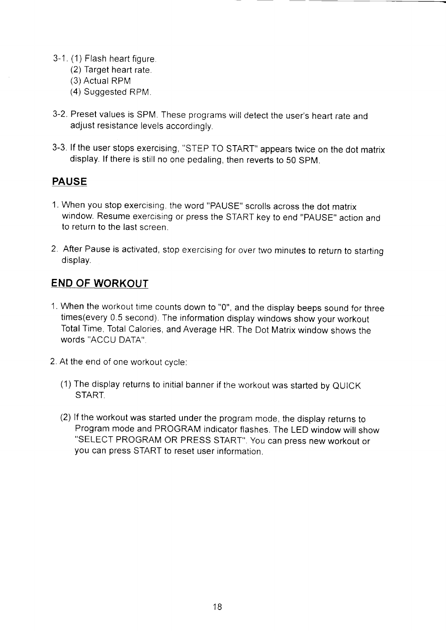- 3-1. (1) Flash heart figure
	- (2) Target heart rate.
	- (3) Actual RPM
	- (4) Suggested RPM
- 3-2. Preset values is SPM. These programs will detect the user's heart rate and adjust resistance levels accordingly.
- 3-3. lf the user stops exercising, "STEP TO START" appears twice on the dot matrix display. lf there is still no one pedaling, then reverts to 50 SpM.

### PAUSE

- 1. When you stop exercising. the word "PAUSE" scrolls across the dot matrix window. Resume exercising or press the START key to end "PAUSE" action and to return to the last screen.
- 2. After Pause is activated, stop exercising for over two minutes to return to starting display.

### END OF WORKOUT

- 1. When the workout time counts down to "0", and the display beeps sound for three times(every 0.5 second). The information display windows show your workout Total Time, Total Calories, and Average HR. The Dot Matrix window shows the words "ACCU DATA".
- 2. At the end of one workout cvcle.
	- (1) The display returns to initial banner if the workout was started by QUICK START.
	- (2) lf the workout was started under the program mode, the display returns to Program mode and PROGRAM indicator flashes. The LED window will show "SELECT PROGRAM OR PRESS START". You can press new workout or you can press START to reset user information.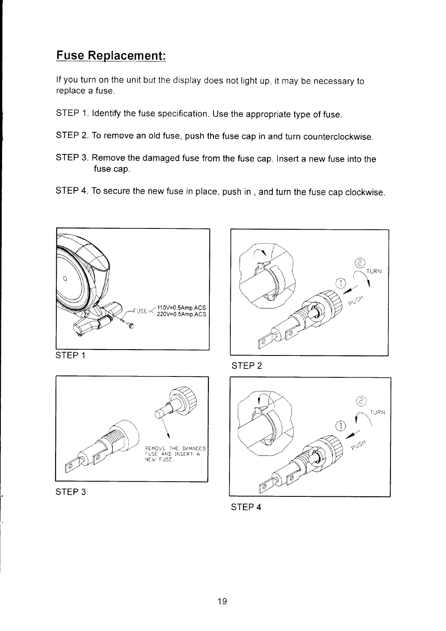# Fuse Replacement:

lf you turn on the unit but the display does not light up, it may be necessary to replace a fuse.

- srEP 1. ldentify the fuse specification. Use the appropriate type of fuse.
- STEP 2. To remove an old fuse, push the fuse cap in and turn counterclockwise.
- STEP 3. Remove the damaged fuse from the fuse cap. Insert a new fuse into the fuse cap.
- STEP 4. To secure the new fuse in place, push in, and turn the fuse cap clockwise.









STEP 2



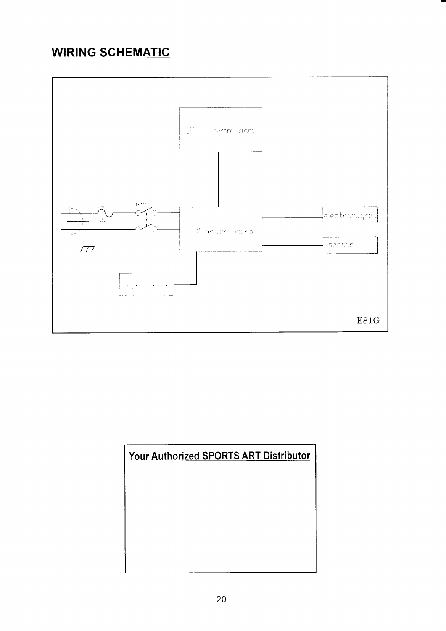# **WIRING SCHEMATIC**



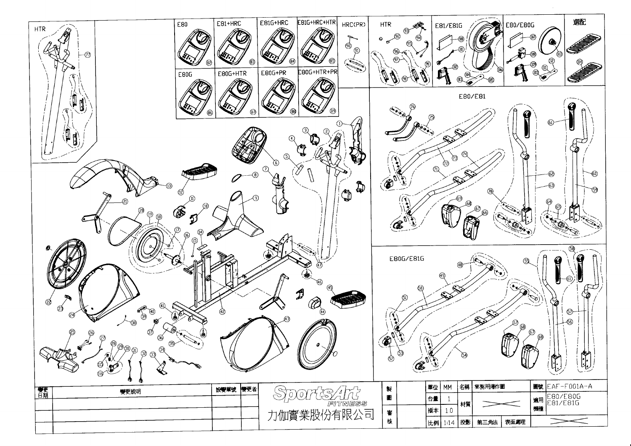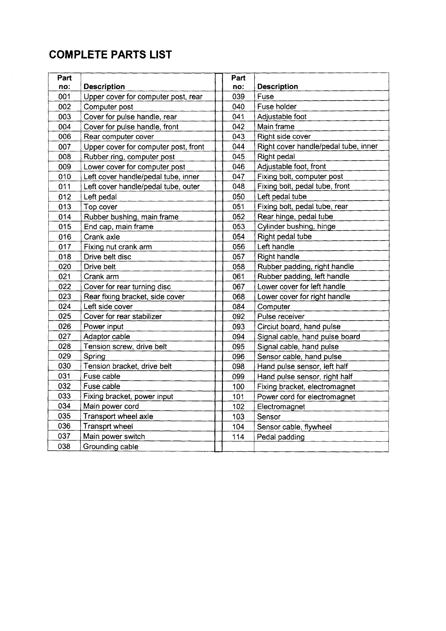# COMPLETE PARTS LIST

| Part |                                      | Part |                                      |
|------|--------------------------------------|------|--------------------------------------|
| no:  | <b>Description</b>                   | no:  | <b>Description</b>                   |
| 001  | Upper cover for computer post, rear  | 039  | Fuse                                 |
| 002  | Computer post                        | 040  | Fuse holder                          |
| 003  | Cover for pulse handle, rear         | 041  | Adjustable foot                      |
| 004  | Cover for pulse handle, front        | 042  | Main frame                           |
| 006  | Rear computer cover                  | 043  | Right side cover                     |
| 007  | Upper cover for computer post, front | 044  | Right cover handle/pedal tube, inner |
| 008  | Rubber ring, computer post           | 045  | Right pedal                          |
| 009  | Lower cover for computer post        | 046  | Adjustable foot, front               |
| 010  | Left cover handle/pedal tube, inner  | 047  | Fixing bolt, computer post           |
| 011  | Left cover handle/pedal tube, outer  | 048  | Fixing bolt, pedal tube, front       |
| 012  | Left pedal                           | 050  | Left pedal tube                      |
| 013  | Top cover                            | 051  | Fixing bolt, pedal tube, rear        |
| 014  | Rubber bushing, main frame           | 052  | Rear hinge, pedal tube               |
| 015  | End cap, main frame                  | 053  | Cylinder bushing, hinge              |
| 016  | Crank axle                           | 054  | Right pedal tube                     |
| 017  | Fixing nut crank arm                 | 056  | Left handle                          |
| 018  | Drive belt disc                      | 057  | <b>Right handle</b>                  |
| 020  | Drive belt                           | 058  | Rubber padding, right handle         |
| 021  | Crank arm                            | 061  | Rubber padding, left handle          |
| 022  | Cover for rear turning disc          | 067  | Lower cover for left handle          |
| 023  | Rear fixing bracket, side cover      | 068  | Lower cover for right handle         |
| 024  | Left side cover                      | 084  | Computer                             |
| 025  | Cover for rear stabilizer            | 092  | Pulse receiver                       |
| 026  | Power input                          | 093  | Circiut board, hand pulse            |
| 027  | Adaptor cable                        | 094  | Signal cable, hand pulse board       |
| 028  | Tension screw, drive belt            | 095  | Signal cable, hand pulse             |
| 029  | Spring                               | 096  | Sensor cable, hand pulse             |
| 030  | Tension bracket, drive belt          | 098  | Hand pulse sensor, left half         |
| 031  | Fuse cable                           | 099  | Hand pulse sensor, right half        |
| 032  | Fuse cable                           | 100  | Fixing bracket, electromagnet        |
| 033  | Fixing bracket, power input          | 101  | Power cord for electromagnet         |
| 034  | Main power cord                      | 102  | Electromagnet                        |
| 035  | Transport wheel axle                 | 103  | Sensor                               |
| 036  | <b>Transprt wheel</b>                | 104  | Sensor cable, flywheel               |
| 037  | Main power switch                    | 114  | Pedal padding                        |
| 038  | Grounding cable                      |      |                                      |